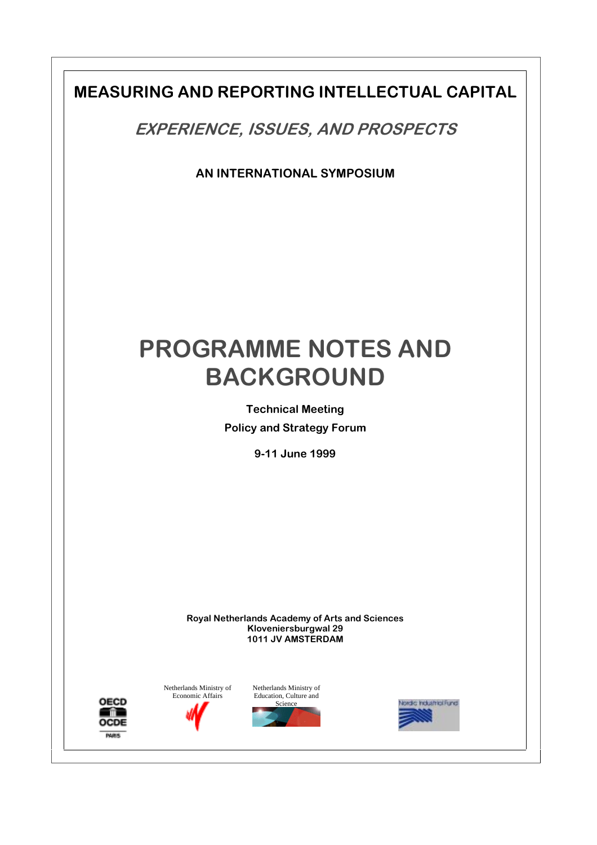# **MEASURING AND REPORTING INTELLECTUAL CAPITAL**

**EXPERIENCE, ISSUES, AND PROSPECTS** 

**AN INTERNATIONAL SYMPOSIUM** 

# **PROGRAMME NOTES AND** BACKGROUND

**Technical Meeting Policy and Strategy Forum** 

9-11 June 1999

**Royal Netherlands Academy of Arts and Sciences Kloveniersburgwal 29 1011 JV AMSTERDAM** 







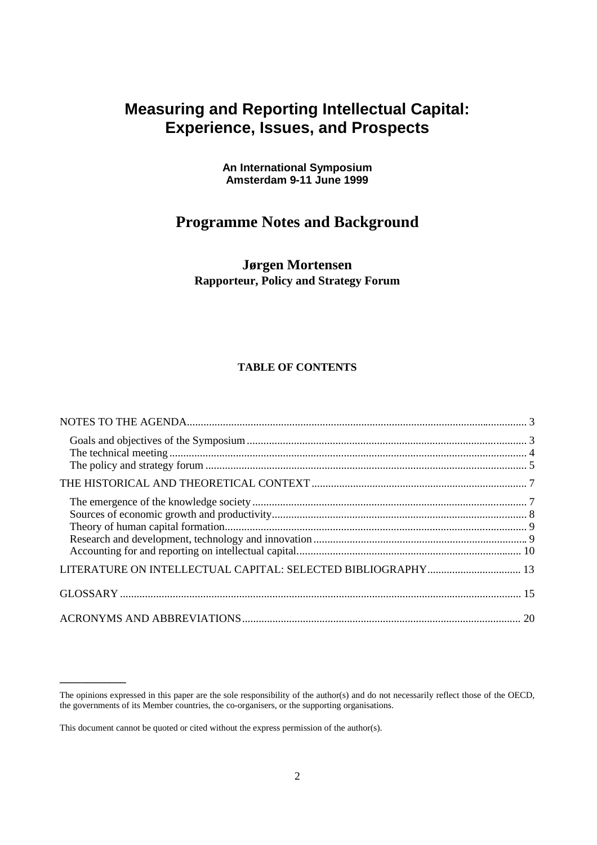# **Measuring and Reporting Intellectual Capital: Experience, Issues, and Prospects**

**An International Symposium Amsterdam 9-11 June 1999**

# **Programme Notes and Background**

**Jørgen Mortensen Rapporteur, Policy and Strategy Forum**

## **TABLE OF CONTENTS**

**\_\_\_\_\_\_\_\_\_\_\_\_**

The opinions expressed in this paper are the sole responsibility of the author(s) and do not necessarily reflect those of the OECD, the governments of its Member countries, the co-organisers, or the supporting organisations.

This document cannot be quoted or cited without the express permission of the author(s).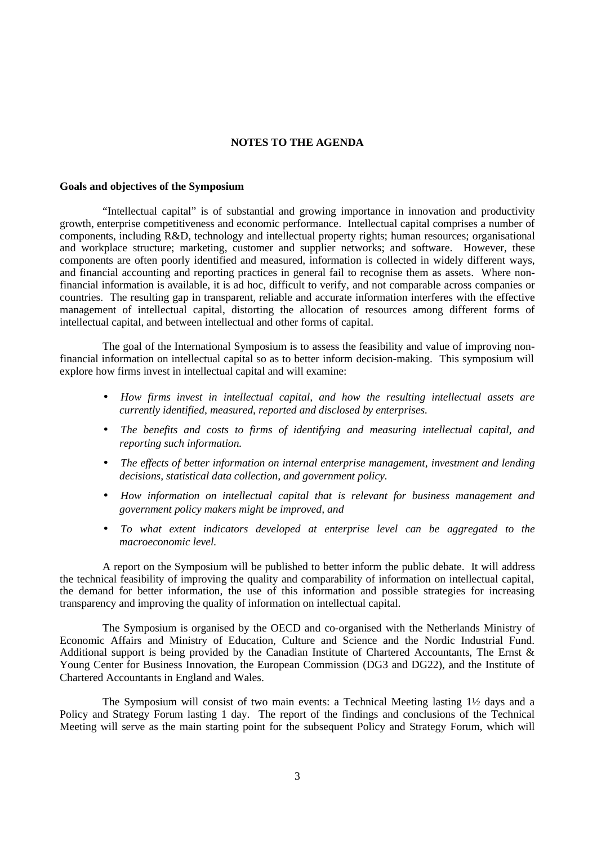#### **NOTES TO THE AGENDA**

#### **Goals and objectives of the Symposium**

"Intellectual capital" is of substantial and growing importance in innovation and productivity growth, enterprise competitiveness and economic performance. Intellectual capital comprises a number of components, including R&D, technology and intellectual property rights; human resources; organisational and workplace structure; marketing, customer and supplier networks; and software. However, these components are often poorly identified and measured, information is collected in widely different ways, and financial accounting and reporting practices in general fail to recognise them as assets. Where nonfinancial information is available, it is ad hoc, difficult to verify, and not comparable across companies or countries. The resulting gap in transparent, reliable and accurate information interferes with the effective management of intellectual capital, distorting the allocation of resources among different forms of intellectual capital, and between intellectual and other forms of capital.

The goal of the International Symposium is to assess the feasibility and value of improving nonfinancial information on intellectual capital so as to better inform decision-making. This symposium will explore how firms invest in intellectual capital and will examine:

- *How firms invest in intellectual capital, and how the resulting intellectual assets are currently identified, measured, reported and disclosed by enterprises.*
- *The benefits and costs to firms of identifying and measuring intellectual capital, and reporting such information.*
- *The effects of better information on internal enterprise management, investment and lending decisions, statistical data collection, and government policy.*
- *How information on intellectual capital that is relevant for business management and government policy makers might be improved, and*
- *To what extent indicators developed at enterprise level can be aggregated to the macroeconomic level.*

A report on the Symposium will be published to better inform the public debate. It will address the technical feasibility of improving the quality and comparability of information on intellectual capital, the demand for better information, the use of this information and possible strategies for increasing transparency and improving the quality of information on intellectual capital.

The Symposium is organised by the OECD and co-organised with the Netherlands Ministry of Economic Affairs and Ministry of Education, Culture and Science and the Nordic Industrial Fund. Additional support is being provided by the Canadian Institute of Chartered Accountants, The Ernst & Young Center for Business Innovation, the European Commission (DG3 and DG22), and the Institute of Chartered Accountants in England and Wales.

The Symposium will consist of two main events: a Technical Meeting lasting  $1\frac{1}{2}$  days and a Policy and Strategy Forum lasting 1 day. The report of the findings and conclusions of the Technical Meeting will serve as the main starting point for the subsequent Policy and Strategy Forum, which will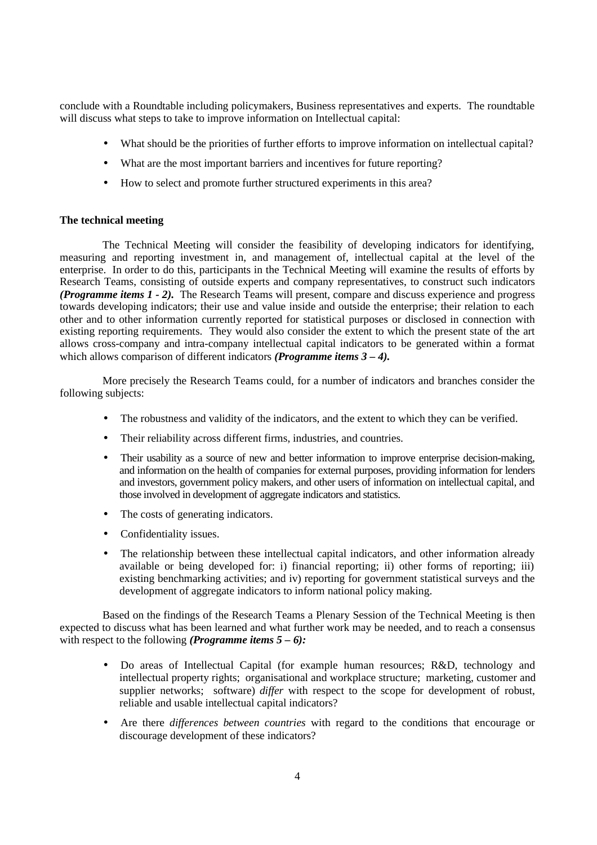conclude with a Roundtable including policymakers, Business representatives and experts. The roundtable will discuss what steps to take to improve information on Intellectual capital:

- What should be the priorities of further efforts to improve information on intellectual capital?
- What are the most important barriers and incentives for future reporting?
- How to select and promote further structured experiments in this area?

#### **The technical meeting**

The Technical Meeting will consider the feasibility of developing indicators for identifying, measuring and reporting investment in, and management of, intellectual capital at the level of the enterprise. In order to do this, participants in the Technical Meeting will examine the results of efforts by Research Teams, consisting of outside experts and company representatives, to construct such indicators *(Programme items 1 - 2).* The Research Teams will present, compare and discuss experience and progress towards developing indicators; their use and value inside and outside the enterprise; their relation to each other and to other information currently reported for statistical purposes or disclosed in connection with existing reporting requirements. They would also consider the extent to which the present state of the art allows cross-company and intra-company intellectual capital indicators to be generated within a format which allows comparison of different indicators *(Programme items 3 – 4)*.

More precisely the Research Teams could, for a number of indicators and branches consider the following subjects:

- The robustness and validity of the indicators, and the extent to which they can be verified.
- Their reliability across different firms, industries, and countries.
- Their usability as a source of new and better information to improve enterprise decision-making, and information on the health of companies for external purposes, providing information for lenders and investors, government policy makers, and other users of information on intellectual capital, and those involved in development of aggregate indicators and statistics.
- The costs of generating indicators.
- Confidentiality issues.
- The relationship between these intellectual capital indicators, and other information already available or being developed for: i) financial reporting; ii) other forms of reporting; iii) existing benchmarking activities; and iv) reporting for government statistical surveys and the development of aggregate indicators to inform national policy making.

Based on the findings of the Research Teams a Plenary Session of the Technical Meeting is then expected to discuss what has been learned and what further work may be needed, and to reach a consensus with respect to the following *(Programme items 5 – 6):*

- Do areas of Intellectual Capital (for example human resources; R&D, technology and intellectual property rights; organisational and workplace structure; marketing, customer and supplier networks; software) *differ* with respect to the scope for development of robust, reliable and usable intellectual capital indicators?
- Are there *differences between countries* with regard to the conditions that encourage or discourage development of these indicators?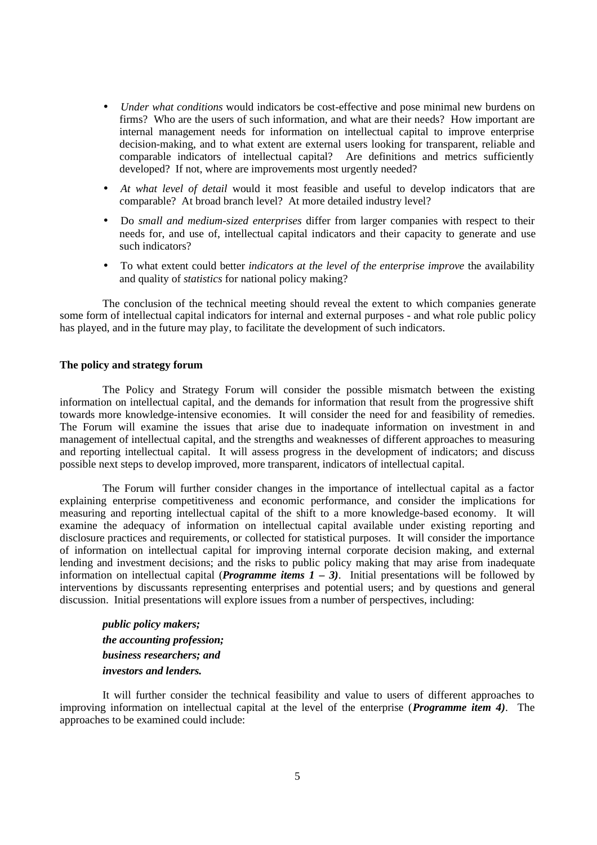- *Under what conditions* would indicators be cost-effective and pose minimal new burdens on firms? Who are the users of such information, and what are their needs? How important are internal management needs for information on intellectual capital to improve enterprise decision-making, and to what extent are external users looking for transparent, reliable and comparable indicators of intellectual capital? Are definitions and metrics sufficiently developed? If not, where are improvements most urgently needed?
- *At what level of detail* would it most feasible and useful to develop indicators that are comparable? At broad branch level? At more detailed industry level?
- Do *small and medium-sized enterprises* differ from larger companies with respect to their needs for, and use of, intellectual capital indicators and their capacity to generate and use such indicators?
- To what extent could better *indicators at the level of the enterprise improve* the availability and quality of *statistics* for national policy making?

The conclusion of the technical meeting should reveal the extent to which companies generate some form of intellectual capital indicators for internal and external purposes - and what role public policy has played, and in the future may play, to facilitate the development of such indicators.

#### **The policy and strategy forum**

The Policy and Strategy Forum will consider the possible mismatch between the existing information on intellectual capital, and the demands for information that result from the progressive shift towards more knowledge-intensive economies. It will consider the need for and feasibility of remedies. The Forum will examine the issues that arise due to inadequate information on investment in and management of intellectual capital, and the strengths and weaknesses of different approaches to measuring and reporting intellectual capital. It will assess progress in the development of indicators; and discuss possible next steps to develop improved, more transparent, indicators of intellectual capital.

The Forum will further consider changes in the importance of intellectual capital as a factor explaining enterprise competitiveness and economic performance, and consider the implications for measuring and reporting intellectual capital of the shift to a more knowledge-based economy. It will examine the adequacy of information on intellectual capital available under existing reporting and disclosure practices and requirements, or collected for statistical purposes. It will consider the importance of information on intellectual capital for improving internal corporate decision making, and external lending and investment decisions; and the risks to public policy making that may arise from inadequate information on intellectual capital (*Programme items*  $1 - 3$ ). Initial presentations will be followed by interventions by discussants representing enterprises and potential users; and by questions and general discussion. Initial presentations will explore issues from a number of perspectives, including:

*public policy makers; the accounting profession; business researchers; and investors and lenders.*

It will further consider the technical feasibility and value to users of different approaches to improving information on intellectual capital at the level of the enterprise (*Programme item 4)*. The approaches to be examined could include: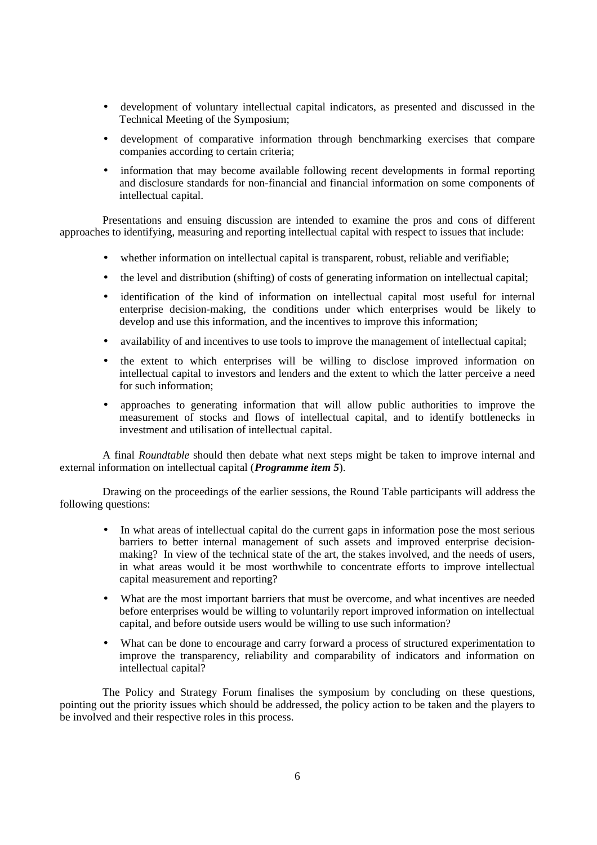- development of voluntary intellectual capital indicators, as presented and discussed in the Technical Meeting of the Symposium;
- development of comparative information through benchmarking exercises that compare companies according to certain criteria;
- information that may become available following recent developments in formal reporting and disclosure standards for non-financial and financial information on some components of intellectual capital.

Presentations and ensuing discussion are intended to examine the pros and cons of different approaches to identifying, measuring and reporting intellectual capital with respect to issues that include:

- whether information on intellectual capital is transparent, robust, reliable and verifiable;
- the level and distribution (shifting) of costs of generating information on intellectual capital;
- identification of the kind of information on intellectual capital most useful for internal enterprise decision-making, the conditions under which enterprises would be likely to develop and use this information, and the incentives to improve this information;
- availability of and incentives to use tools to improve the management of intellectual capital;
- the extent to which enterprises will be willing to disclose improved information on intellectual capital to investors and lenders and the extent to which the latter perceive a need for such information;
- approaches to generating information that will allow public authorities to improve the measurement of stocks and flows of intellectual capital, and to identify bottlenecks in investment and utilisation of intellectual capital.

A final *Roundtable* should then debate what next steps might be taken to improve internal and external information on intellectual capital (*Programme item 5*).

Drawing on the proceedings of the earlier sessions, the Round Table participants will address the following questions:

- In what areas of intellectual capital do the current gaps in information pose the most serious barriers to better internal management of such assets and improved enterprise decisionmaking? In view of the technical state of the art, the stakes involved, and the needs of users, in what areas would it be most worthwhile to concentrate efforts to improve intellectual capital measurement and reporting?
- What are the most important barriers that must be overcome, and what incentives are needed before enterprises would be willing to voluntarily report improved information on intellectual capital, and before outside users would be willing to use such information?
- What can be done to encourage and carry forward a process of structured experimentation to improve the transparency, reliability and comparability of indicators and information on intellectual capital?

The Policy and Strategy Forum finalises the symposium by concluding on these questions, pointing out the priority issues which should be addressed, the policy action to be taken and the players to be involved and their respective roles in this process.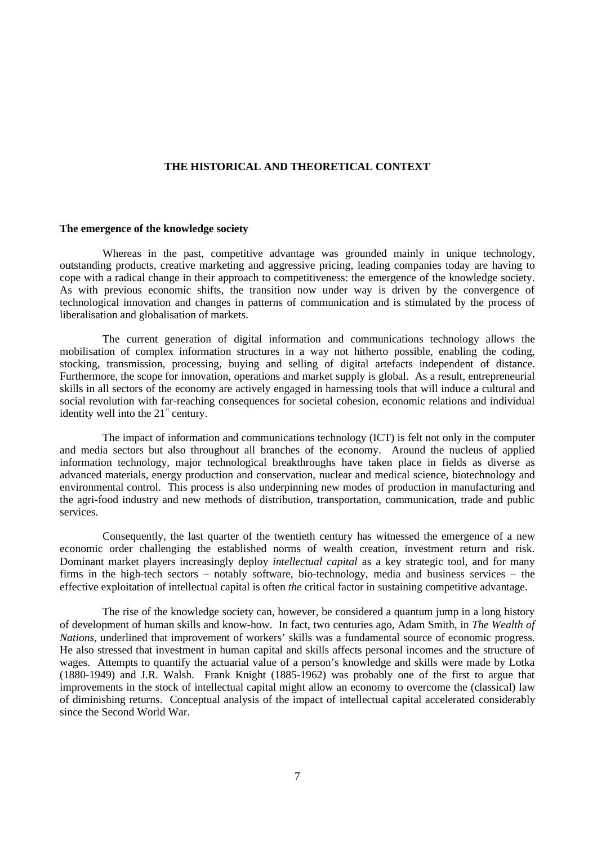#### **THE HISTORICAL AND THEORETICAL CONTEXT**

#### **The emergence of the knowledge society**

Whereas in the past, competitive advantage was grounded mainly in unique technology, outstanding products, creative marketing and aggressive pricing, leading companies today are having to cope with a radical change in their approach to competitiveness: the emergence of the knowledge society. As with previous economic shifts, the transition now under way is driven by the convergence of technological innovation and changes in patterns of communication and is stimulated by the process of liberalisation and globalisation of markets.

The current generation of digital information and communications technology allows the mobilisation of complex information structures in a way not hitherto possible, enabling the coding, stocking, transmission, processing, buying and selling of digital artefacts independent of distance. Furthermore, the scope for innovation, operations and market supply is global. As a result, entrepreneurial skills in all sectors of the economy are actively engaged in harnessing tools that will induce a cultural and social revolution with far-reaching consequences for societal cohesion, economic relations and individual identity well into the  $21<sup>st</sup>$  century.

The impact of information and communications technology (ICT) is felt not only in the computer and media sectors but also throughout all branches of the economy. Around the nucleus of applied information technology, major technological breakthroughs have taken place in fields as diverse as advanced materials, energy production and conservation, nuclear and medical science, biotechnology and environmental control. This process is also underpinning new modes of production in manufacturing and the agri-food industry and new methods of distribution, transportation, communication, trade and public services.

Consequently, the last quarter of the twentieth century has witnessed the emergence of a new economic order challenging the established norms of wealth creation, investment return and risk. Dominant market players increasingly deploy *intellectual capital* as a key strategic tool, and for many firms in the high-tech sectors – notably software, bio-technology, media and business services – the effective exploitation of intellectual capital is often *the* critical factor in sustaining competitive advantage.

The rise of the knowledge society can, however, be considered a quantum jump in a long history of development of human skills and know-how. In fact, two centuries ago, Adam Smith, in *The Wealth of Nations,* underlined that improvement of workers' skills was a fundamental source of economic progress. He also stressed that investment in human capital and skills affects personal incomes and the structure of wages. Attempts to quantify the actuarial value of a person's knowledge and skills were made by Lotka (1880-1949) and J.R. Walsh. Frank Knight (1885-1962) was probably one of the first to argue that improvements in the stock of intellectual capital might allow an economy to overcome the (classical) law of diminishing returns. Conceptual analysis of the impact of intellectual capital accelerated considerably since the Second World War.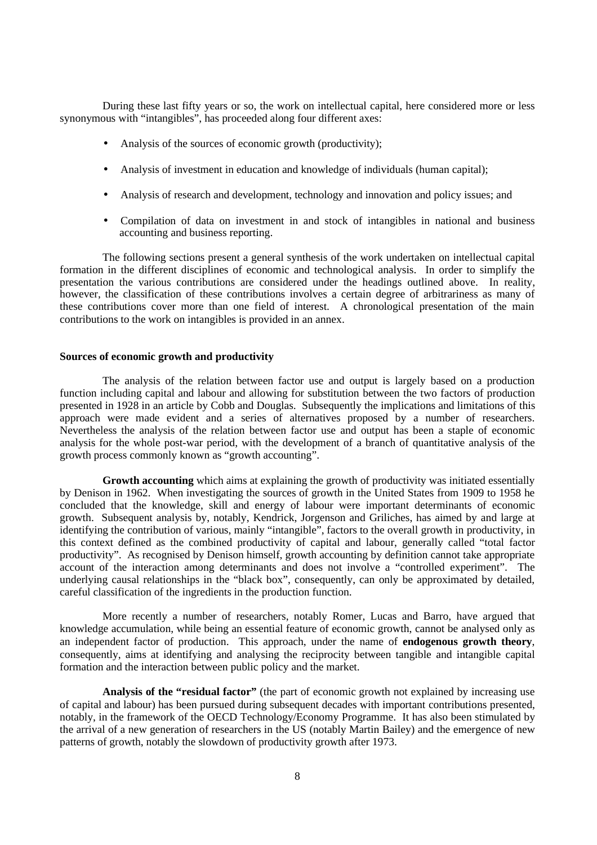During these last fifty years or so, the work on intellectual capital, here considered more or less synonymous with "intangibles", has proceeded along four different axes:

- Analysis of the sources of economic growth (productivity);
- Analysis of investment in education and knowledge of individuals (human capital);
- Analysis of research and development, technology and innovation and policy issues; and
- Compilation of data on investment in and stock of intangibles in national and business accounting and business reporting.

The following sections present a general synthesis of the work undertaken on intellectual capital formation in the different disciplines of economic and technological analysis. In order to simplify the presentation the various contributions are considered under the headings outlined above. In reality, however, the classification of these contributions involves a certain degree of arbitrariness as many of these contributions cover more than one field of interest. A chronological presentation of the main contributions to the work on intangibles is provided in an annex.

## **Sources of economic growth and productivity**

The analysis of the relation between factor use and output is largely based on a production function including capital and labour and allowing for substitution between the two factors of production presented in 1928 in an article by Cobb and Douglas. Subsequently the implications and limitations of this approach were made evident and a series of alternatives proposed by a number of researchers. Nevertheless the analysis of the relation between factor use and output has been a staple of economic analysis for the whole post-war period, with the development of a branch of quantitative analysis of the growth process commonly known as "growth accounting".

**Growth accounting** which aims at explaining the growth of productivity was initiated essentially by Denison in 1962. When investigating the sources of growth in the United States from 1909 to 1958 he concluded that the knowledge, skill and energy of labour were important determinants of economic growth. Subsequent analysis by, notably, Kendrick, Jorgenson and Griliches, has aimed by and large at identifying the contribution of various, mainly "intangible", factors to the overall growth in productivity, in this context defined as the combined productivity of capital and labour, generally called "total factor productivity". As recognised by Denison himself, growth accounting by definition cannot take appropriate account of the interaction among determinants and does not involve a "controlled experiment". The underlying causal relationships in the "black box", consequently, can only be approximated by detailed, careful classification of the ingredients in the production function.

More recently a number of researchers, notably Romer, Lucas and Barro, have argued that knowledge accumulation, while being an essential feature of economic growth, cannot be analysed only as an independent factor of production. This approach, under the name of **endogenous growth theory**, consequently, aims at identifying and analysing the reciprocity between tangible and intangible capital formation and the interaction between public policy and the market.

**Analysis of the "residual factor"** (the part of economic growth not explained by increasing use of capital and labour) has been pursued during subsequent decades with important contributions presented, notably, in the framework of the OECD Technology/Economy Programme. It has also been stimulated by the arrival of a new generation of researchers in the US (notably Martin Bailey) and the emergence of new patterns of growth, notably the slowdown of productivity growth after 1973.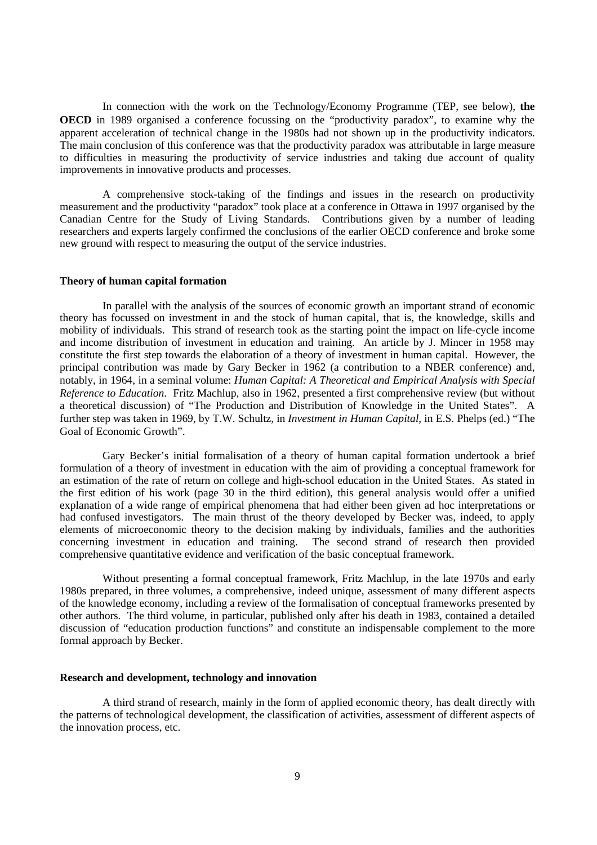In connection with the work on the Technology/Economy Programme (TEP, see below), **the OECD** in 1989 organised a conference focussing on the "productivity paradox", to examine why the apparent acceleration of technical change in the 1980s had not shown up in the productivity indicators. The main conclusion of this conference was that the productivity paradox was attributable in large measure to difficulties in measuring the productivity of service industries and taking due account of quality improvements in innovative products and processes.

A comprehensive stock-taking of the findings and issues in the research on productivity measurement and the productivity "paradox" took place at a conference in Ottawa in 1997 organised by the Canadian Centre for the Study of Living Standards. Contributions given by a number of leading researchers and experts largely confirmed the conclusions of the earlier OECD conference and broke some new ground with respect to measuring the output of the service industries.

## **Theory of human capital formation**

In parallel with the analysis of the sources of economic growth an important strand of economic theory has focussed on investment in and the stock of human capital, that is, the knowledge, skills and mobility of individuals. This strand of research took as the starting point the impact on life-cycle income and income distribution of investment in education and training. An article by J. Mincer in 1958 may constitute the first step towards the elaboration of a theory of investment in human capital. However, the principal contribution was made by Gary Becker in 1962 (a contribution to a NBER conference) and, notably, in 1964, in a seminal volume: *Human Capital: A Theoretical and Empirical Analysis with Special Reference to Education*. Fritz Machlup, also in 1962, presented a first comprehensive review (but without a theoretical discussion) of "The Production and Distribution of Knowledge in the United States". A further step was taken in 1969, by T.W. Schultz, in *Investment in Human Capital*, in E.S. Phelps (ed.) "The Goal of Economic Growth".

Gary Becker's initial formalisation of a theory of human capital formation undertook a brief formulation of a theory of investment in education with the aim of providing a conceptual framework for an estimation of the rate of return on college and high-school education in the United States. As stated in the first edition of his work (page 30 in the third edition), this general analysis would offer a unified explanation of a wide range of empirical phenomena that had either been given ad hoc interpretations or had confused investigators. The main thrust of the theory developed by Becker was, indeed, to apply elements of microeconomic theory to the decision making by individuals, families and the authorities concerning investment in education and training. The second strand of research then provided comprehensive quantitative evidence and verification of the basic conceptual framework.

Without presenting a formal conceptual framework, Fritz Machlup, in the late 1970s and early 1980s prepared, in three volumes, a comprehensive, indeed unique, assessment of many different aspects of the knowledge economy, including a review of the formalisation of conceptual frameworks presented by other authors. The third volume, in particular, published only after his death in 1983, contained a detailed discussion of "education production functions" and constitute an indispensable complement to the more formal approach by Becker.

#### **Research and development, technology and innovation**

A third strand of research, mainly in the form of applied economic theory, has dealt directly with the patterns of technological development, the classification of activities, assessment of different aspects of the innovation process, etc.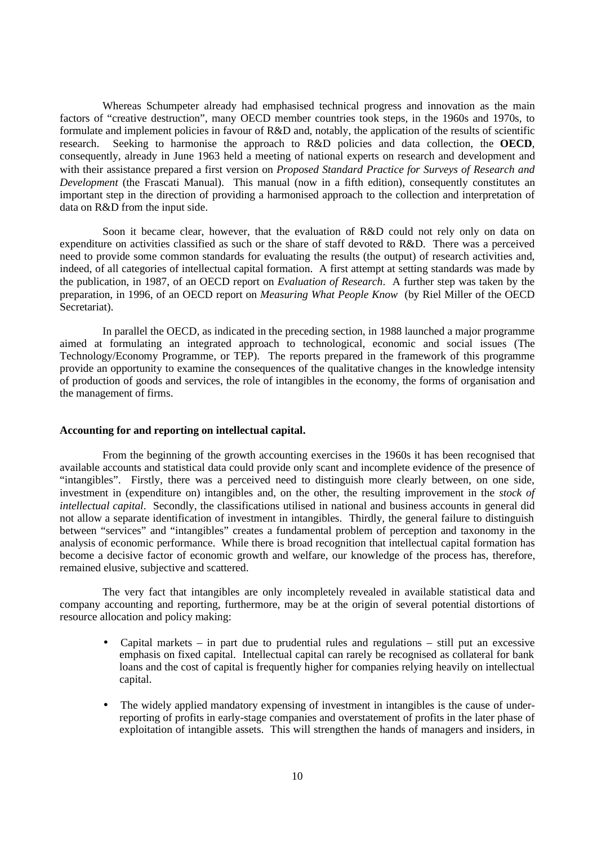Whereas Schumpeter already had emphasised technical progress and innovation as the main factors of "creative destruction", many OECD member countries took steps, in the 1960s and 1970s, to formulate and implement policies in favour of R&D and, notably, the application of the results of scientific research. Seeking to harmonise the approach to R&D policies and data collection, the **OECD**, consequently, already in June 1963 held a meeting of national experts on research and development and with their assistance prepared a first version on *Proposed Standard Practice for Surveys of Research and Development* (the Frascati Manual). This manual (now in a fifth edition), consequently constitutes an important step in the direction of providing a harmonised approach to the collection and interpretation of data on R&D from the input side.

Soon it became clear, however, that the evaluation of R&D could not rely only on data on expenditure on activities classified as such or the share of staff devoted to R&D. There was a perceived need to provide some common standards for evaluating the results (the output) of research activities and, indeed, of all categories of intellectual capital formation. A first attempt at setting standards was made by the publication, in 1987, of an OECD report on *Evaluation of Research*. A further step was taken by the preparation, in 1996, of an OECD report on *Measuring What People Know* (by Riel Miller of the OECD Secretariat).

In parallel the OECD, as indicated in the preceding section, in 1988 launched a major programme aimed at formulating an integrated approach to technological, economic and social issues (The Technology/Economy Programme, or TEP). The reports prepared in the framework of this programme provide an opportunity to examine the consequences of the qualitative changes in the knowledge intensity of production of goods and services, the role of intangibles in the economy, the forms of organisation and the management of firms.

#### **Accounting for and reporting on intellectual capital.**

From the beginning of the growth accounting exercises in the 1960s it has been recognised that available accounts and statistical data could provide only scant and incomplete evidence of the presence of "intangibles". Firstly, there was a perceived need to distinguish more clearly between, on one side, investment in (expenditure on) intangibles and, on the other, the resulting improvement in the *stock of intellectual capital*. Secondly, the classifications utilised in national and business accounts in general did not allow a separate identification of investment in intangibles. Thirdly, the general failure to distinguish between "services" and "intangibles" creates a fundamental problem of perception and taxonomy in the analysis of economic performance. While there is broad recognition that intellectual capital formation has become a decisive factor of economic growth and welfare, our knowledge of the process has, therefore, remained elusive, subjective and scattered.

The very fact that intangibles are only incompletely revealed in available statistical data and company accounting and reporting, furthermore, may be at the origin of several potential distortions of resource allocation and policy making:

- Capital markets in part due to prudential rules and regulations still put an excessive emphasis on fixed capital. Intellectual capital can rarely be recognised as collateral for bank loans and the cost of capital is frequently higher for companies relying heavily on intellectual capital.
- The widely applied mandatory expensing of investment in intangibles is the cause of underreporting of profits in early-stage companies and overstatement of profits in the later phase of exploitation of intangible assets. This will strengthen the hands of managers and insiders, in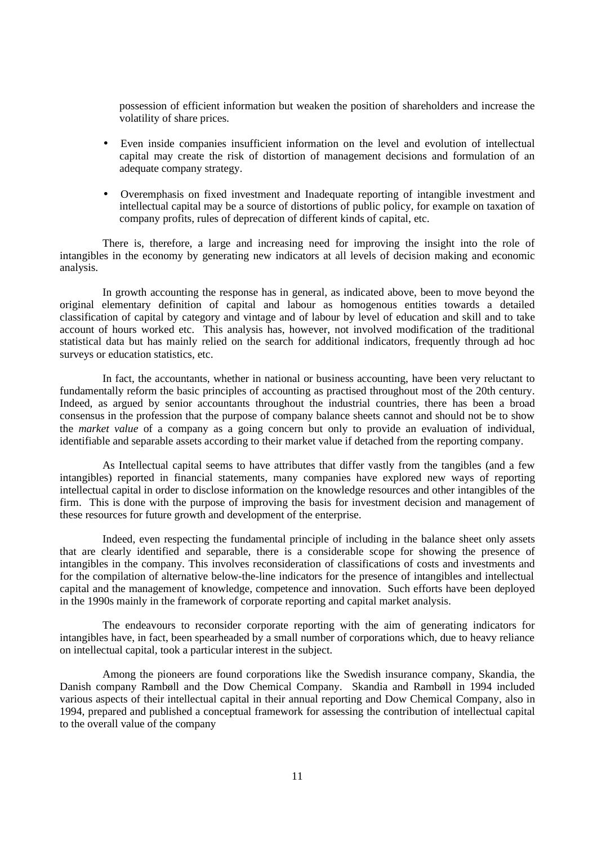possession of efficient information but weaken the position of shareholders and increase the volatility of share prices.

- Even inside companies insufficient information on the level and evolution of intellectual capital may create the risk of distortion of management decisions and formulation of an adequate company strategy.
- Overemphasis on fixed investment and Inadequate reporting of intangible investment and intellectual capital may be a source of distortions of public policy, for example on taxation of company profits, rules of deprecation of different kinds of capital, etc.

There is, therefore, a large and increasing need for improving the insight into the role of intangibles in the economy by generating new indicators at all levels of decision making and economic analysis.

In growth accounting the response has in general, as indicated above, been to move beyond the original elementary definition of capital and labour as homogenous entities towards a detailed classification of capital by category and vintage and of labour by level of education and skill and to take account of hours worked etc. This analysis has, however, not involved modification of the traditional statistical data but has mainly relied on the search for additional indicators, frequently through ad hoc surveys or education statistics, etc.

In fact, the accountants, whether in national or business accounting, have been very reluctant to fundamentally reform the basic principles of accounting as practised throughout most of the 20th century. Indeed, as argued by senior accountants throughout the industrial countries, there has been a broad consensus in the profession that the purpose of company balance sheets cannot and should not be to show the *market value* of a company as a going concern but only to provide an evaluation of individual, identifiable and separable assets according to their market value if detached from the reporting company.

As Intellectual capital seems to have attributes that differ vastly from the tangibles (and a few intangibles) reported in financial statements, many companies have explored new ways of reporting intellectual capital in order to disclose information on the knowledge resources and other intangibles of the firm. This is done with the purpose of improving the basis for investment decision and management of these resources for future growth and development of the enterprise.

Indeed, even respecting the fundamental principle of including in the balance sheet only assets that are clearly identified and separable, there is a considerable scope for showing the presence of intangibles in the company. This involves reconsideration of classifications of costs and investments and for the compilation of alternative below-the-line indicators for the presence of intangibles and intellectual capital and the management of knowledge, competence and innovation. Such efforts have been deployed in the 1990s mainly in the framework of corporate reporting and capital market analysis.

The endeavours to reconsider corporate reporting with the aim of generating indicators for intangibles have, in fact, been spearheaded by a small number of corporations which, due to heavy reliance on intellectual capital, took a particular interest in the subject.

Among the pioneers are found corporations like the Swedish insurance company, Skandia, the Danish company Rambøll and the Dow Chemical Company. Skandia and Rambøll in 1994 included various aspects of their intellectual capital in their annual reporting and Dow Chemical Company, also in 1994, prepared and published a conceptual framework for assessing the contribution of intellectual capital to the overall value of the company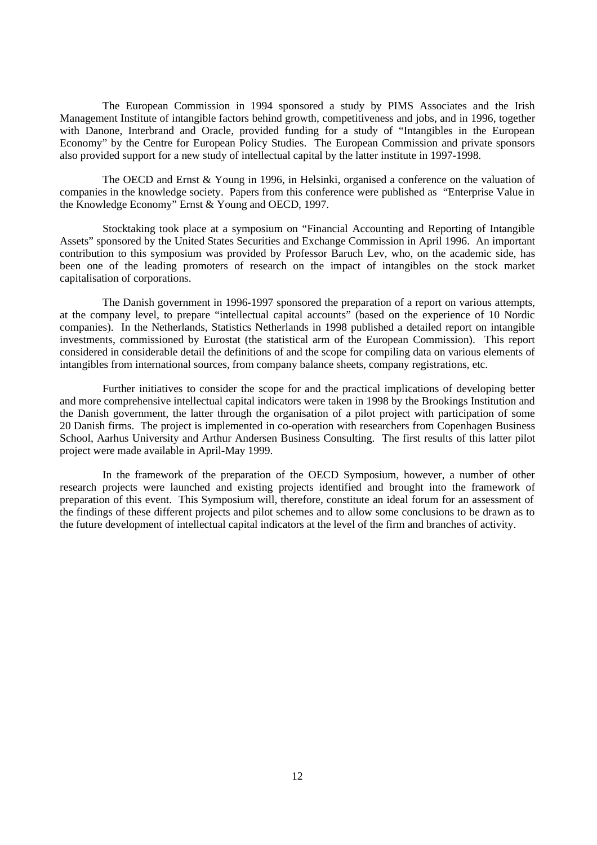The European Commission in 1994 sponsored a study by PIMS Associates and the Irish Management Institute of intangible factors behind growth, competitiveness and jobs, and in 1996, together with Danone, Interbrand and Oracle, provided funding for a study of "Intangibles in the European Economy" by the Centre for European Policy Studies. The European Commission and private sponsors also provided support for a new study of intellectual capital by the latter institute in 1997-1998.

The OECD and Ernst & Young in 1996, in Helsinki, organised a conference on the valuation of companies in the knowledge society. Papers from this conference were published as "Enterprise Value in the Knowledge Economy" Ernst & Young and OECD, 1997.

Stocktaking took place at a symposium on "Financial Accounting and Reporting of Intangible Assets" sponsored by the United States Securities and Exchange Commission in April 1996. An important contribution to this symposium was provided by Professor Baruch Lev, who, on the academic side, has been one of the leading promoters of research on the impact of intangibles on the stock market capitalisation of corporations.

The Danish government in 1996-1997 sponsored the preparation of a report on various attempts, at the company level, to prepare "intellectual capital accounts" (based on the experience of 10 Nordic companies). In the Netherlands, Statistics Netherlands in 1998 published a detailed report on intangible investments, commissioned by Eurostat (the statistical arm of the European Commission). This report considered in considerable detail the definitions of and the scope for compiling data on various elements of intangibles from international sources, from company balance sheets, company registrations, etc.

Further initiatives to consider the scope for and the practical implications of developing better and more comprehensive intellectual capital indicators were taken in 1998 by the Brookings Institution and the Danish government, the latter through the organisation of a pilot project with participation of some 20 Danish firms. The project is implemented in co-operation with researchers from Copenhagen Business School, Aarhus University and Arthur Andersen Business Consulting. The first results of this latter pilot project were made available in April-May 1999.

In the framework of the preparation of the OECD Symposium, however, a number of other research projects were launched and existing projects identified and brought into the framework of preparation of this event. This Symposium will, therefore, constitute an ideal forum for an assessment of the findings of these different projects and pilot schemes and to allow some conclusions to be drawn as to the future development of intellectual capital indicators at the level of the firm and branches of activity.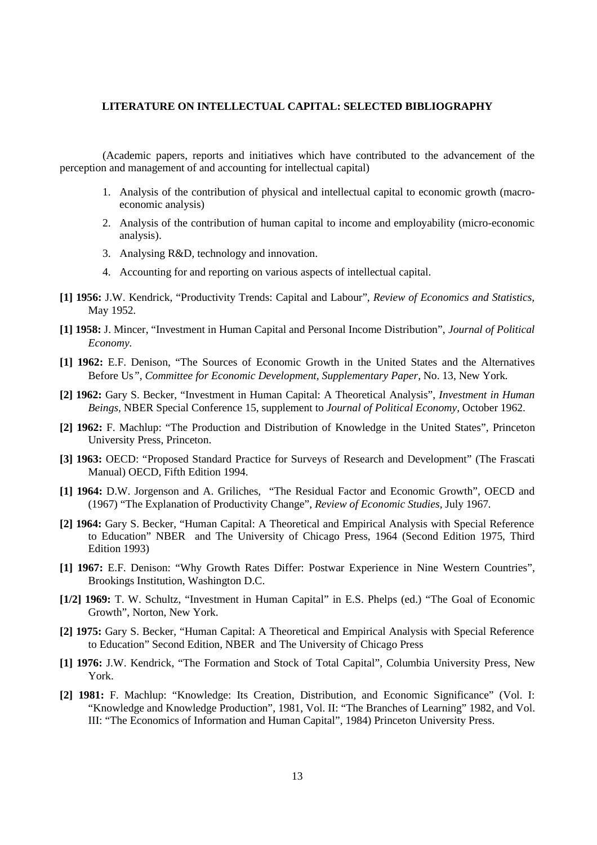#### **LITERATURE ON INTELLECTUAL CAPITAL: SELECTED BIBLIOGRAPHY**

(Academic papers, reports and initiatives which have contributed to the advancement of the perception and management of and accounting for intellectual capital)

- 1. Analysis of the contribution of physical and intellectual capital to economic growth (macroeconomic analysis)
- 2. Analysis of the contribution of human capital to income and employability (micro-economic analysis).
- 3. Analysing R&D, technology and innovation.
- 4. Accounting for and reporting on various aspects of intellectual capital.
- **[1] 1956:** J.W. Kendrick, "Productivity Trends: Capital and Labour"*, Review of Economics and Statistics,* May 1952*.*
- **[1] 1958:** J. Mincer, "Investment in Human Capital and Personal Income Distribution", *Journal of Political Economy.*
- **[1] 1962:** E.F. Denison, "The Sources of Economic Growth in the United States and the Alternatives Before Us*", Committee for Economic Development, Supplementary Paper,* No. 13, New York*.*
- **[2] 1962:** Gary S. Becker, "Investment in Human Capital: A Theoretical Analysis", *Investment in Human Beings,* NBER Special Conference 15, supplement to *Journal of Political Economy,* October 1962.
- **[2] 1962:** F. Machlup: "The Production and Distribution of Knowledge in the United States", Princeton University Press, Princeton.
- **[3] 1963:** OECD: "Proposed Standard Practice for Surveys of Research and Development" (The Frascati Manual) OECD, Fifth Edition 1994.
- **[1] 1964:** D.W. Jorgenson and A. Griliches, "The Residual Factor and Economic Growth", OECD and (1967) "The Explanation of Productivity Change"*, Review of Economic Studies,* July 1967*.*
- **[2] 1964:** Gary S. Becker, "Human Capital: A Theoretical and Empirical Analysis with Special Reference to Education" NBER and The University of Chicago Press, 1964 (Second Edition 1975, Third Edition 1993)
- **[1] 1967:** E.F. Denison: "Why Growth Rates Differ: Postwar Experience in Nine Western Countries", Brookings Institution, Washington D.C.
- **[1/2] 1969:** T. W. Schultz, "Investment in Human Capital" in E.S. Phelps (ed.) "The Goal of Economic Growth", Norton, New York.
- **[2] 1975:** Gary S. Becker, "Human Capital: A Theoretical and Empirical Analysis with Special Reference to Education" Second Edition, NBER and The University of Chicago Press
- **[1] 1976:** J.W. Kendrick, "The Formation and Stock of Total Capital", Columbia University Press, New York.
- **[2] 1981:** F. Machlup: "Knowledge: Its Creation, Distribution, and Economic Significance" (Vol. I: "Knowledge and Knowledge Production", 1981, Vol. II: "The Branches of Learning" 1982, and Vol. III: "The Economics of Information and Human Capital", 1984) Princeton University Press.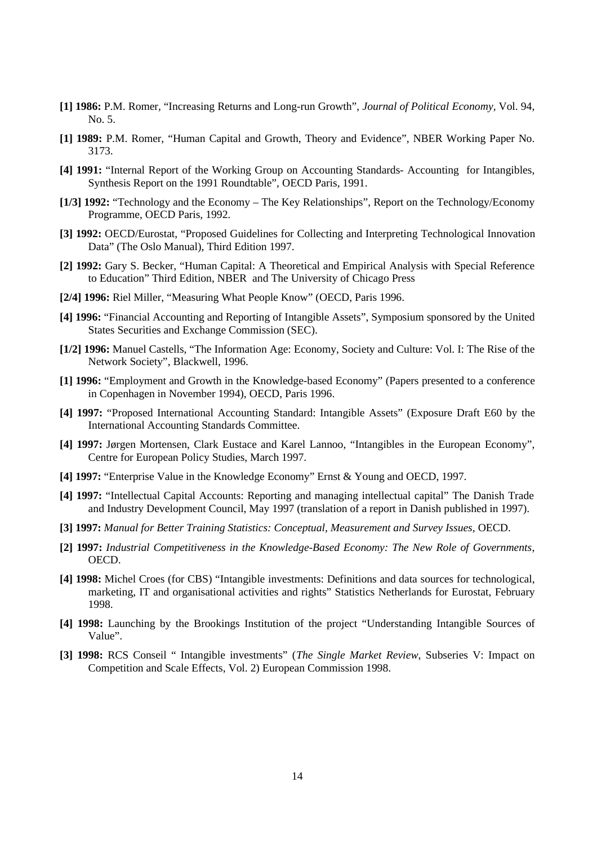- **[1] 1986:** P.M. Romer, "Increasing Returns and Long-run Growth", *Journal of Political Economy,* Vol. 94, No. 5.
- **[1] 1989:** P.M. Romer, "Human Capital and Growth, Theory and Evidence", NBER Working Paper No. 3173.
- **[4] 1991:** "Internal Report of the Working Group on Accounting Standards- Accounting for Intangibles, Synthesis Report on the 1991 Roundtable", OECD Paris, 1991.
- **[1/3] 1992:** "Technology and the Economy The Key Relationships", Report on the Technology/Economy Programme, OECD Paris, 1992.
- **[3] 1992:** OECD/Eurostat, "Proposed Guidelines for Collecting and Interpreting Technological Innovation Data" (The Oslo Manual), Third Edition 1997.
- **[2] 1992:** Gary S. Becker, "Human Capital: A Theoretical and Empirical Analysis with Special Reference to Education" Third Edition, NBER and The University of Chicago Press
- **[2/4] 1996:** Riel Miller, "Measuring What People Know" (OECD, Paris 1996.
- **[4] 1996:** "Financial Accounting and Reporting of Intangible Assets", Symposium sponsored by the United States Securities and Exchange Commission (SEC).
- **[1/2] 1996:** Manuel Castells, "The Information Age: Economy, Society and Culture: Vol. I: The Rise of the Network Society", Blackwell, 1996.
- **[1] 1996:** "Employment and Growth in the Knowledge-based Economy" (Papers presented to a conference in Copenhagen in November 1994), OECD, Paris 1996.
- **[4] 1997:** "Proposed International Accounting Standard: Intangible Assets" (Exposure Draft E60 by the International Accounting Standards Committee.
- **[4] 1997:** Jørgen Mortensen, Clark Eustace and Karel Lannoo, "Intangibles in the European Economy", Centre for European Policy Studies, March 1997.
- **[4] 1997:** "Enterprise Value in the Knowledge Economy" Ernst & Young and OECD, 1997.
- **[4] 1997:** "Intellectual Capital Accounts: Reporting and managing intellectual capital" The Danish Trade and Industry Development Council, May 1997 (translation of a report in Danish published in 1997).
- **[3] 1997:** *Manual for Better Training Statistics: Conceptual, Measurement and Survey Issues,* OECD.
- **[2] 1997:** *Industrial Competitiveness in the Knowledge-Based Economy: The New Role of Governments*, OECD.
- **[4] 1998:** Michel Croes (for CBS) "Intangible investments: Definitions and data sources for technological, marketing, IT and organisational activities and rights" Statistics Netherlands for Eurostat, February 1998.
- **[4] 1998:** Launching by the Brookings Institution of the project "Understanding Intangible Sources of Value".
- **[3] 1998:** RCS Conseil " Intangible investments" (*The Single Market Review*, Subseries V: Impact on Competition and Scale Effects, Vol. 2) European Commission 1998.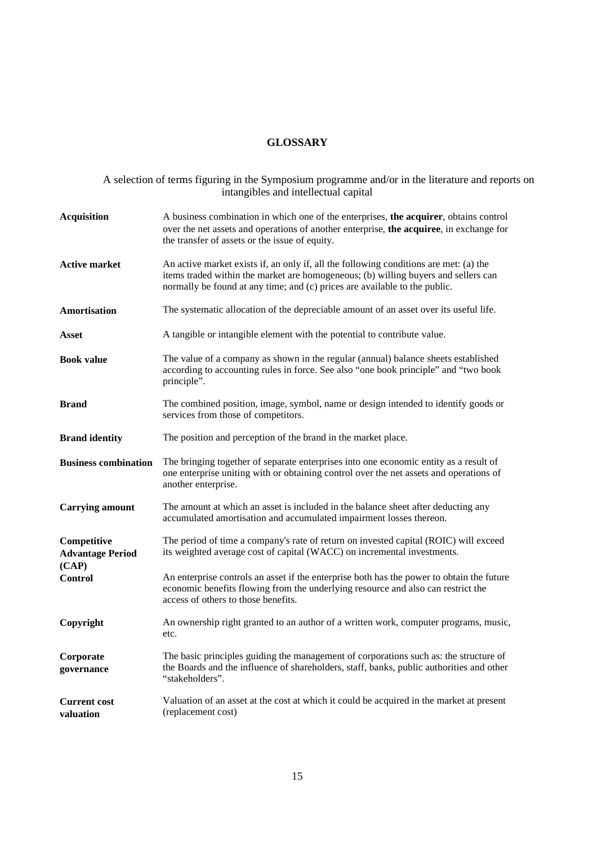# **GLOSSARY**

## A selection of terms figuring in the Symposium programme and/or in the literature and reports on intangibles and intellectual capital

| <b>Acquisition</b>                              | A business combination in which one of the enterprises, the acquirer, obtains control<br>over the net assets and operations of another enterprise, the acquiree, in exchange for<br>the transfer of assets or the issue of equity.                        |
|-------------------------------------------------|-----------------------------------------------------------------------------------------------------------------------------------------------------------------------------------------------------------------------------------------------------------|
| <b>Active market</b>                            | An active market exists if, an only if, all the following conditions are met: (a) the<br>items traded within the market are homogeneous; (b) willing buyers and sellers can<br>normally be found at any time; and (c) prices are available to the public. |
| <b>Amortisation</b>                             | The systematic allocation of the depreciable amount of an asset over its useful life.                                                                                                                                                                     |
| <b>Asset</b>                                    | A tangible or intangible element with the potential to contribute value.                                                                                                                                                                                  |
| <b>Book value</b>                               | The value of a company as shown in the regular (annual) balance sheets established<br>according to accounting rules in force. See also "one book principle" and "two book<br>principle".                                                                  |
| <b>Brand</b>                                    | The combined position, image, symbol, name or design intended to identify goods or<br>services from those of competitors.                                                                                                                                 |
| <b>Brand identity</b>                           | The position and perception of the brand in the market place.                                                                                                                                                                                             |
| <b>Business combination</b>                     | The bringing together of separate enterprises into one economic entity as a result of<br>one enterprise uniting with or obtaining control over the net assets and operations of<br>another enterprise.                                                    |
| <b>Carrying amount</b>                          | The amount at which an asset is included in the balance sheet after deducting any<br>accumulated amortisation and accumulated impairment losses thereon.                                                                                                  |
| Competitive<br><b>Advantage Period</b><br>(CAP) | The period of time a company's rate of return on invested capital (ROIC) will exceed<br>its weighted average cost of capital (WACC) on incremental investments.                                                                                           |
| <b>Control</b>                                  | An enterprise controls an asset if the enterprise both has the power to obtain the future<br>economic benefits flowing from the underlying resource and also can restrict the<br>access of others to those benefits.                                      |
| Copyright                                       | An ownership right granted to an author of a written work, computer programs, music,<br>etc.                                                                                                                                                              |
| Corporate<br>governance                         | The basic principles guiding the management of corporations such as: the structure of<br>the Boards and the influence of shareholders, staff, banks, public authorities and other<br>"stakeholders".                                                      |
| <b>Current cost</b><br>valuation                | Valuation of an asset at the cost at which it could be acquired in the market at present<br>(replacement cost)                                                                                                                                            |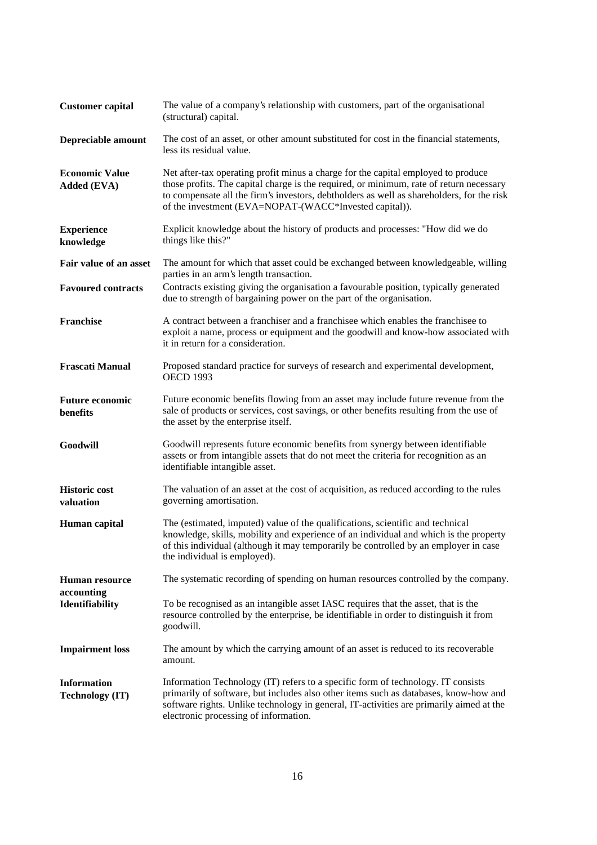| <b>Customer capital</b>                      | The value of a company's relationship with customers, part of the organisational<br>(structural) capital.                                                                                                                                                                                                                           |
|----------------------------------------------|-------------------------------------------------------------------------------------------------------------------------------------------------------------------------------------------------------------------------------------------------------------------------------------------------------------------------------------|
| Depreciable amount                           | The cost of an asset, or other amount substituted for cost in the financial statements,<br>less its residual value.                                                                                                                                                                                                                 |
| <b>Economic Value</b><br><b>Added (EVA)</b>  | Net after-tax operating profit minus a charge for the capital employed to produce<br>those profits. The capital charge is the required, or minimum, rate of return necessary<br>to compensate all the firm's investors, debtholders as well as shareholders, for the risk<br>of the investment (EVA=NOPAT-(WACC*Invested capital)). |
| <b>Experience</b><br>knowledge               | Explicit knowledge about the history of products and processes: "How did we do<br>things like this?"                                                                                                                                                                                                                                |
| Fair value of an asset                       | The amount for which that asset could be exchanged between knowledgeable, willing<br>parties in an arm's length transaction.                                                                                                                                                                                                        |
| <b>Favoured contracts</b>                    | Contracts existing giving the organisation a favourable position, typically generated<br>due to strength of bargaining power on the part of the organisation.                                                                                                                                                                       |
| <b>Franchise</b>                             | A contract between a franchiser and a franchisee which enables the franchisee to<br>exploit a name, process or equipment and the goodwill and know-how associated with<br>it in return for a consideration.                                                                                                                         |
| <b>Frascati Manual</b>                       | Proposed standard practice for surveys of research and experimental development,<br><b>OECD 1993</b>                                                                                                                                                                                                                                |
| <b>Future economic</b><br>benefits           | Future economic benefits flowing from an asset may include future revenue from the<br>sale of products or services, cost savings, or other benefits resulting from the use of<br>the asset by the enterprise itself.                                                                                                                |
| Goodwill                                     | Goodwill represents future economic benefits from synergy between identifiable<br>assets or from intangible assets that do not meet the criteria for recognition as an<br>identifiable intangible asset.                                                                                                                            |
| <b>Historic cost</b><br>valuation            | The valuation of an asset at the cost of acquisition, as reduced according to the rules<br>governing amortisation.                                                                                                                                                                                                                  |
| Human capital                                | The (estimated, imputed) value of the qualifications, scientific and technical<br>knowledge, skills, mobility and experience of an individual and which is the property<br>of this individual (although it may temporarily be controlled by an employer in case<br>the individual is employed).                                     |
| Human resource<br>accounting                 | The systematic recording of spending on human resources controlled by the company.                                                                                                                                                                                                                                                  |
| Identifiability                              | To be recognised as an intangible asset IASC requires that the asset, that is the<br>resource controlled by the enterprise, be identifiable in order to distinguish it from<br>goodwill.                                                                                                                                            |
| <b>Impairment</b> loss                       | The amount by which the carrying amount of an asset is reduced to its recoverable<br>amount.                                                                                                                                                                                                                                        |
| <b>Information</b><br><b>Technology (IT)</b> | Information Technology (IT) refers to a specific form of technology. IT consists<br>primarily of software, but includes also other items such as databases, know-how and<br>software rights. Unlike technology in general, IT-activities are primarily aimed at the<br>electronic processing of information.                        |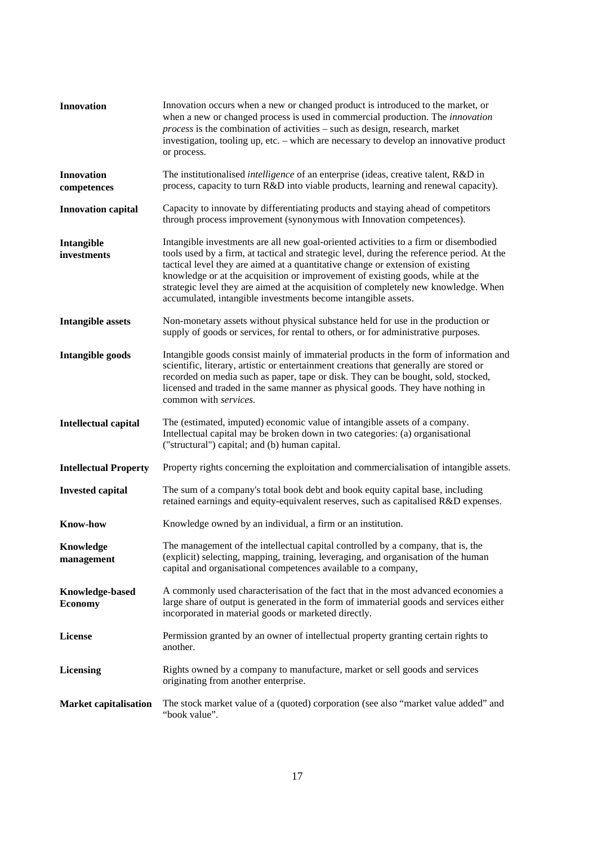| <b>Innovation</b>                        | Innovation occurs when a new or changed product is introduced to the market, or<br>when a new or changed process is used in commercial production. The <i>innovation</i><br><i>process</i> is the combination of activities – such as design, research, market<br>investigation, tooling up, etc. - which are necessary to develop an innovative product<br>or process.                                                                                                                                         |
|------------------------------------------|-----------------------------------------------------------------------------------------------------------------------------------------------------------------------------------------------------------------------------------------------------------------------------------------------------------------------------------------------------------------------------------------------------------------------------------------------------------------------------------------------------------------|
| <b>Innovation</b><br>competences         | The institutionalised <i>intelligence</i> of an enterprise (ideas, creative talent, R&D in<br>process, capacity to turn R&D into viable products, learning and renewal capacity).                                                                                                                                                                                                                                                                                                                               |
| <b>Innovation capital</b>                | Capacity to innovate by differentiating products and staying ahead of competitors<br>through process improvement (synonymous with Innovation competences).                                                                                                                                                                                                                                                                                                                                                      |
| Intangible<br>investments                | Intangible investments are all new goal-oriented activities to a firm or disembodied<br>tools used by a firm, at tactical and strategic level, during the reference period. At the<br>tactical level they are aimed at a quantitative change or extension of existing<br>knowledge or at the acquisition or improvement of existing goods, while at the<br>strategic level they are aimed at the acquisition of completely new knowledge. When<br>accumulated, intangible investments become intangible assets. |
| <b>Intangible assets</b>                 | Non-monetary assets without physical substance held for use in the production or<br>supply of goods or services, for rental to others, or for administrative purposes.                                                                                                                                                                                                                                                                                                                                          |
| Intangible goods                         | Intangible goods consist mainly of immaterial products in the form of information and<br>scientific, literary, artistic or entertainment creations that generally are stored or<br>recorded on media such as paper, tape or disk. They can be bought, sold, stocked,<br>licensed and traded in the same manner as physical goods. They have nothing in<br>common with services.                                                                                                                                 |
| <b>Intellectual capital</b>              | The (estimated, imputed) economic value of intangible assets of a company.<br>Intellectual capital may be broken down in two categories: (a) organisational<br>("structural") capital; and (b) human capital.                                                                                                                                                                                                                                                                                                   |
| <b>Intellectual Property</b>             | Property rights concerning the exploitation and commercialisation of intangible assets.                                                                                                                                                                                                                                                                                                                                                                                                                         |
| <b>Invested capital</b>                  | The sum of a company's total book debt and book equity capital base, including<br>retained earnings and equity-equivalent reserves, such as capitalised R&D expenses.                                                                                                                                                                                                                                                                                                                                           |
| <b>Know-how</b>                          | Knowledge owned by an individual, a firm or an institution.                                                                                                                                                                                                                                                                                                                                                                                                                                                     |
| Knowledge<br>management                  | The management of the intellectual capital controlled by a company, that is, the<br>(explicit) selecting, mapping, training, leveraging, and organisation of the human<br>capital and organisational competences available to a company,                                                                                                                                                                                                                                                                        |
| <b>Knowledge-based</b><br><b>Economy</b> | A commonly used characterisation of the fact that in the most advanced economies a<br>large share of output is generated in the form of immaterial goods and services either<br>incorporated in material goods or marketed directly.                                                                                                                                                                                                                                                                            |
| <b>License</b>                           | Permission granted by an owner of intellectual property granting certain rights to<br>another.                                                                                                                                                                                                                                                                                                                                                                                                                  |
| <b>Licensing</b>                         | Rights owned by a company to manufacture, market or sell goods and services<br>originating from another enterprise.                                                                                                                                                                                                                                                                                                                                                                                             |
| <b>Market capitalisation</b>             | The stock market value of a (quoted) corporation (see also "market value added" and<br>"book value".                                                                                                                                                                                                                                                                                                                                                                                                            |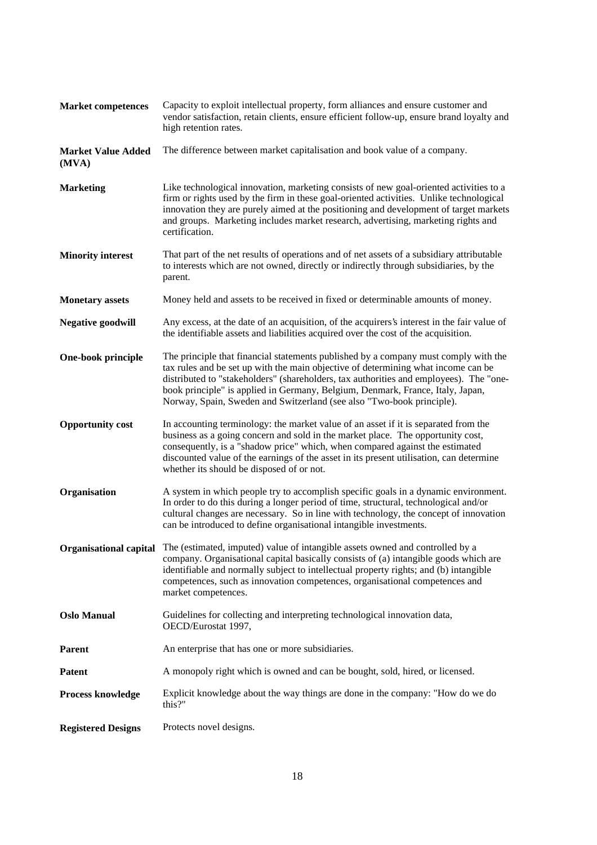| <b>Market competences</b>          | Capacity to exploit intellectual property, form alliances and ensure customer and<br>vendor satisfaction, retain clients, ensure efficient follow-up, ensure brand loyalty and<br>high retention rates.                                                                                                                                                                                                                       |
|------------------------------------|-------------------------------------------------------------------------------------------------------------------------------------------------------------------------------------------------------------------------------------------------------------------------------------------------------------------------------------------------------------------------------------------------------------------------------|
| <b>Market Value Added</b><br>(MVA) | The difference between market capitalisation and book value of a company.                                                                                                                                                                                                                                                                                                                                                     |
| <b>Marketing</b>                   | Like technological innovation, marketing consists of new goal-oriented activities to a<br>firm or rights used by the firm in these goal-oriented activities. Unlike technological<br>innovation they are purely aimed at the positioning and development of target markets<br>and groups. Marketing includes market research, advertising, marketing rights and<br>certification.                                             |
| <b>Minority interest</b>           | That part of the net results of operations and of net assets of a subsidiary attributable<br>to interests which are not owned, directly or indirectly through subsidiaries, by the<br>parent.                                                                                                                                                                                                                                 |
| <b>Monetary assets</b>             | Money held and assets to be received in fixed or determinable amounts of money.                                                                                                                                                                                                                                                                                                                                               |
| <b>Negative goodwill</b>           | Any excess, at the date of an acquisition, of the acquirers's interest in the fair value of<br>the identifiable assets and liabilities acquired over the cost of the acquisition.                                                                                                                                                                                                                                             |
| One-book principle                 | The principle that financial statements published by a company must comply with the<br>tax rules and be set up with the main objective of determining what income can be<br>distributed to "stakeholders" (shareholders, tax authorities and employees). The "one-<br>book principle" is applied in Germany, Belgium, Denmark, France, Italy, Japan,<br>Norway, Spain, Sweden and Switzerland (see also "Two-book principle). |
| <b>Opportunity cost</b>            | In accounting terminology: the market value of an asset if it is separated from the<br>business as a going concern and sold in the market place. The opportunity cost,<br>consequently, is a "shadow price" which, when compared against the estimated<br>discounted value of the earnings of the asset in its present utilisation, can determine<br>whether its should be disposed of or not.                                |
| Organisation                       | A system in which people try to accomplish specific goals in a dynamic environment.<br>In order to do this during a longer period of time, structural, technological and/or<br>cultural changes are necessary. So in line with technology, the concept of innovation<br>can be introduced to define organisational intangible investments.                                                                                    |
|                                    | Organisational capital The (estimated, imputed) value of intangible assets owned and controlled by a<br>company. Organisational capital basically consists of (a) intangible goods which are<br>identifiable and normally subject to intellectual property rights; and (b) intangible<br>competences, such as innovation competences, organisational competences and<br>market competences.                                   |
| <b>Oslo Manual</b>                 | Guidelines for collecting and interpreting technological innovation data,<br>OECD/Eurostat 1997,                                                                                                                                                                                                                                                                                                                              |
| <b>Parent</b>                      | An enterprise that has one or more subsidiaries.                                                                                                                                                                                                                                                                                                                                                                              |
| <b>Patent</b>                      | A monopoly right which is owned and can be bought, sold, hired, or licensed.                                                                                                                                                                                                                                                                                                                                                  |
| Process knowledge                  | Explicit knowledge about the way things are done in the company: "How do we do<br>this?"                                                                                                                                                                                                                                                                                                                                      |
| <b>Registered Designs</b>          | Protects novel designs.                                                                                                                                                                                                                                                                                                                                                                                                       |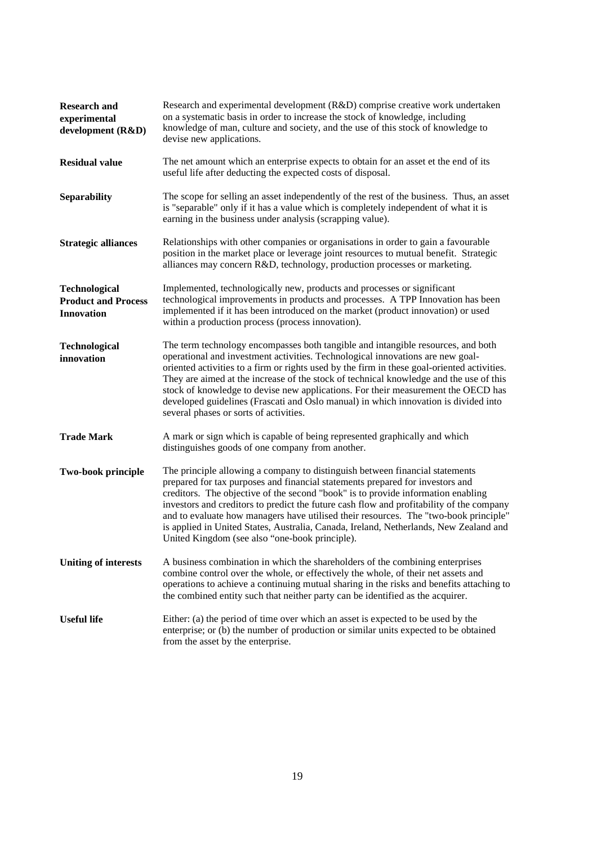| <b>Research and</b><br>experimental<br>development (R&D)                | Research and experimental development (R&D) comprise creative work undertaken<br>on a systematic basis in order to increase the stock of knowledge, including<br>knowledge of man, culture and society, and the use of this stock of knowledge to<br>devise new applications.                                                                                                                                                                                                                                                                                                     |
|-------------------------------------------------------------------------|-----------------------------------------------------------------------------------------------------------------------------------------------------------------------------------------------------------------------------------------------------------------------------------------------------------------------------------------------------------------------------------------------------------------------------------------------------------------------------------------------------------------------------------------------------------------------------------|
| <b>Residual value</b>                                                   | The net amount which an enterprise expects to obtain for an asset et the end of its<br>useful life after deducting the expected costs of disposal.                                                                                                                                                                                                                                                                                                                                                                                                                                |
| <b>Separability</b>                                                     | The scope for selling an asset independently of the rest of the business. Thus, an asset<br>is "separable" only if it has a value which is completely independent of what it is<br>earning in the business under analysis (scrapping value).                                                                                                                                                                                                                                                                                                                                      |
| <b>Strategic alliances</b>                                              | Relationships with other companies or organisations in order to gain a favourable<br>position in the market place or leverage joint resources to mutual benefit. Strategic<br>alliances may concern R&D, technology, production processes or marketing.                                                                                                                                                                                                                                                                                                                           |
| <b>Technological</b><br><b>Product and Process</b><br><b>Innovation</b> | Implemented, technologically new, products and processes or significant<br>technological improvements in products and processes. A TPP Innovation has been<br>implemented if it has been introduced on the market (product innovation) or used<br>within a production process (process innovation).                                                                                                                                                                                                                                                                               |
| <b>Technological</b><br>innovation                                      | The term technology encompasses both tangible and intangible resources, and both<br>operational and investment activities. Technological innovations are new goal-<br>oriented activities to a firm or rights used by the firm in these goal-oriented activities.<br>They are aimed at the increase of the stock of technical knowledge and the use of this<br>stock of knowledge to devise new applications. For their measurement the OECD has<br>developed guidelines (Frascati and Oslo manual) in which innovation is divided into<br>several phases or sorts of activities. |
| <b>Trade Mark</b>                                                       | A mark or sign which is capable of being represented graphically and which<br>distinguishes goods of one company from another.                                                                                                                                                                                                                                                                                                                                                                                                                                                    |
| <b>Two-book principle</b>                                               | The principle allowing a company to distinguish between financial statements<br>prepared for tax purposes and financial statements prepared for investors and<br>creditors. The objective of the second "book" is to provide information enabling<br>investors and creditors to predict the future cash flow and profitability of the company<br>and to evaluate how managers have utilised their resources. The "two-book principle"<br>is applied in United States, Australia, Canada, Ireland, Netherlands, New Zealand and<br>United Kingdom (see also "one-book principle).  |
| <b>Uniting of interests</b>                                             | A business combination in which the shareholders of the combining enterprises<br>combine control over the whole, or effectively the whole, of their net assets and<br>operations to achieve a continuing mutual sharing in the risks and benefits attaching to<br>the combined entity such that neither party can be identified as the acquirer.                                                                                                                                                                                                                                  |
| <b>Useful life</b>                                                      | Either: (a) the period of time over which an asset is expected to be used by the<br>enterprise; or (b) the number of production or similar units expected to be obtained<br>from the asset by the enterprise.                                                                                                                                                                                                                                                                                                                                                                     |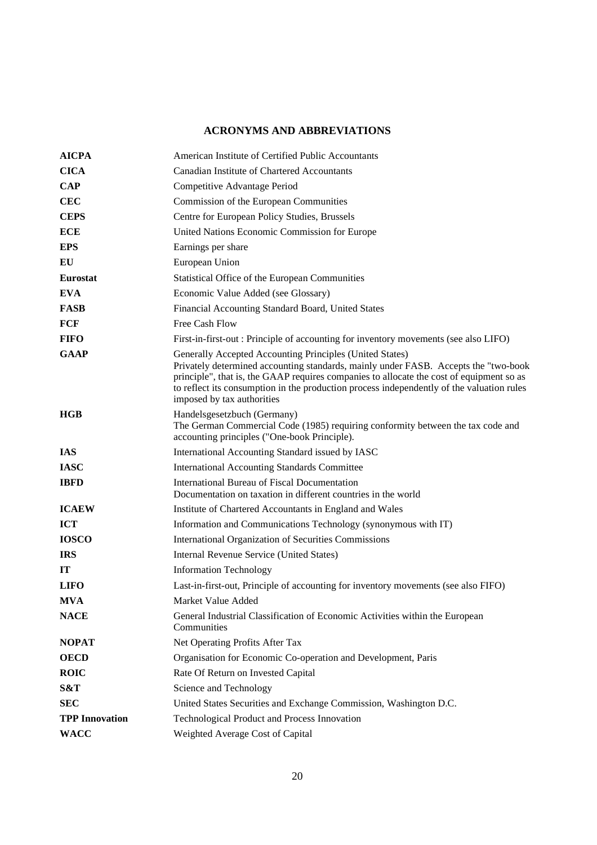# **ACRONYMS AND ABBREVIATIONS**

| <b>AICPA</b>          | American Institute of Certified Public Accountants                                                                                                                                                                                                                                                                                                                     |
|-----------------------|------------------------------------------------------------------------------------------------------------------------------------------------------------------------------------------------------------------------------------------------------------------------------------------------------------------------------------------------------------------------|
| <b>CICA</b>           | Canadian Institute of Chartered Accountants                                                                                                                                                                                                                                                                                                                            |
| <b>CAP</b>            | Competitive Advantage Period                                                                                                                                                                                                                                                                                                                                           |
| <b>CEC</b>            | Commission of the European Communities                                                                                                                                                                                                                                                                                                                                 |
| <b>CEPS</b>           | Centre for European Policy Studies, Brussels                                                                                                                                                                                                                                                                                                                           |
| <b>ECE</b>            | United Nations Economic Commission for Europe                                                                                                                                                                                                                                                                                                                          |
| <b>EPS</b>            | Earnings per share                                                                                                                                                                                                                                                                                                                                                     |
| EU                    | European Union                                                                                                                                                                                                                                                                                                                                                         |
| <b>Eurostat</b>       | Statistical Office of the European Communities                                                                                                                                                                                                                                                                                                                         |
| <b>EVA</b>            | Economic Value Added (see Glossary)                                                                                                                                                                                                                                                                                                                                    |
| <b>FASB</b>           | Financial Accounting Standard Board, United States                                                                                                                                                                                                                                                                                                                     |
| <b>FCF</b>            | Free Cash Flow                                                                                                                                                                                                                                                                                                                                                         |
| <b>FIFO</b>           | First-in-first-out : Principle of accounting for inventory movements (see also LIFO)                                                                                                                                                                                                                                                                                   |
| <b>GAAP</b>           | Generally Accepted Accounting Principles (United States)<br>Privately determined accounting standards, mainly under FASB. Accepts the "two-book<br>principle", that is, the GAAP requires companies to allocate the cost of equipment so as<br>to reflect its consumption in the production process independently of the valuation rules<br>imposed by tax authorities |
| <b>HGB</b>            | Handelsgesetzbuch (Germany)<br>The German Commercial Code (1985) requiring conformity between the tax code and<br>accounting principles ("One-book Principle).                                                                                                                                                                                                         |
| <b>IAS</b>            | International Accounting Standard issued by IASC                                                                                                                                                                                                                                                                                                                       |
| <b>IASC</b>           | <b>International Accounting Standards Committee</b>                                                                                                                                                                                                                                                                                                                    |
| <b>IBFD</b>           | International Bureau of Fiscal Documentation<br>Documentation on taxation in different countries in the world                                                                                                                                                                                                                                                          |
| <b>ICAEW</b>          | Institute of Chartered Accountants in England and Wales                                                                                                                                                                                                                                                                                                                |
| <b>ICT</b>            | Information and Communications Technology (synonymous with IT)                                                                                                                                                                                                                                                                                                         |
| <b>IOSCO</b>          | International Organization of Securities Commissions                                                                                                                                                                                                                                                                                                                   |
| <b>IRS</b>            | <b>Internal Revenue Service (United States)</b>                                                                                                                                                                                                                                                                                                                        |
| IT                    | <b>Information Technology</b>                                                                                                                                                                                                                                                                                                                                          |
| <b>LIFO</b>           | Last-in-first-out, Principle of accounting for inventory movements (see also FIFO)                                                                                                                                                                                                                                                                                     |
| <b>MVA</b>            | Market Value Added                                                                                                                                                                                                                                                                                                                                                     |
| <b>NACE</b>           | General Industrial Classification of Economic Activities within the European<br>Communities                                                                                                                                                                                                                                                                            |
| <b>NOPAT</b>          | Net Operating Profits After Tax                                                                                                                                                                                                                                                                                                                                        |
| <b>OECD</b>           | Organisation for Economic Co-operation and Development, Paris                                                                                                                                                                                                                                                                                                          |
| <b>ROIC</b>           | Rate Of Return on Invested Capital                                                                                                                                                                                                                                                                                                                                     |
| S&T                   | Science and Technology                                                                                                                                                                                                                                                                                                                                                 |
| <b>SEC</b>            | United States Securities and Exchange Commission, Washington D.C.                                                                                                                                                                                                                                                                                                      |
| <b>TPP</b> Innovation | Technological Product and Process Innovation                                                                                                                                                                                                                                                                                                                           |
| <b>WACC</b>           | Weighted Average Cost of Capital                                                                                                                                                                                                                                                                                                                                       |